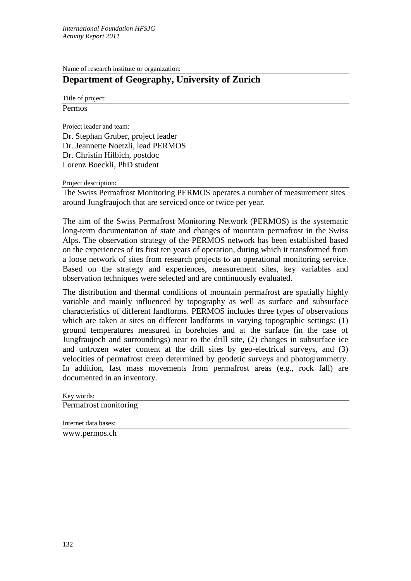Name of research institute or organization:

## **Department of Geography, University of Zurich**

Title of project: Permos

Project leader and team:

Dr. Stephan Gruber, project leader Dr. Jeannette Noetzli, lead PERMOS Dr. Christin Hilbich, postdoc Lorenz Boeckli, PhD student

Project description:

The Swiss Permafrost Monitoring PERMOS operates a number of measurement sites around Jungfraujoch that are serviced once or twice per year.

The aim of the Swiss Permafrost Monitoring Network (PERMOS) is the systematic long-term documentation of state and changes of mountain permafrost in the Swiss Alps. The observation strategy of the PERMOS network has been established based on the experiences of its first ten years of operation, during which it transformed from a loose network of sites from research projects to an operational monitoring service. Based on the strategy and experiences, measurement sites, key variables and observation techniques were selected and are continuously evaluated.

The distribution and thermal conditions of mountain permafrost are spatially highly variable and mainly influenced by topography as well as surface and subsurface characteristics of different landforms. PERMOS includes three types of observations which are taken at sites on different landforms in varying topographic settings: (1) ground temperatures measured in boreholes and at the surface (in the case of Jungfraujoch and surroundings) near to the drill site, (2) changes in subsurface ice and unfrozen water content at the drill sites by geo-electrical surveys, and (3) velocities of permafrost creep determined by geodetic surveys and photogrammetry. In addition, fast mass movements from permafrost areas (e.g., rock fall) are documented in an inventory.

Key words: Permafrost monitoring

Internet data bases: www.permos.ch